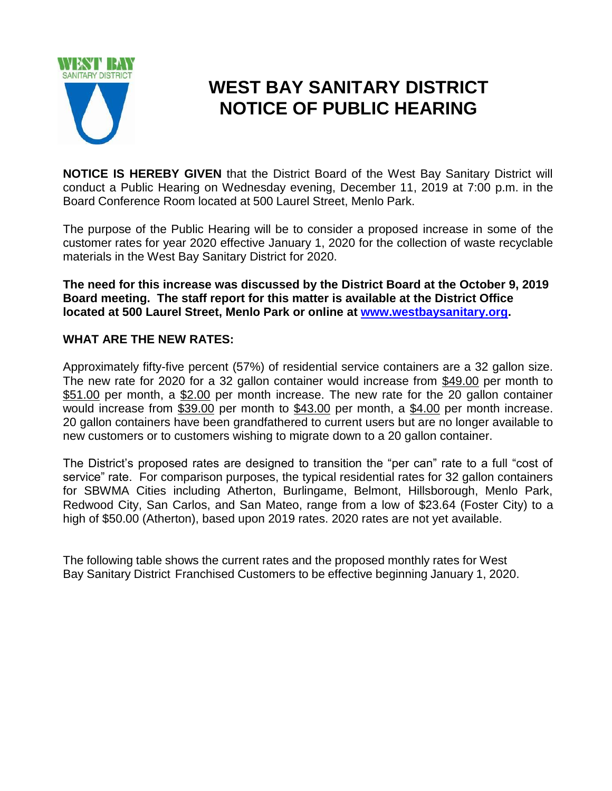

## **WEST BAY SANITARY DISTRICT NOTICE OF PUBLIC HEARING**

**NOTICE IS HEREBY GIVEN** that the District Board of the West Bay Sanitary District will conduct a Public Hearing on Wednesday evening, December 11, 2019 at 7:00 p.m. in the Board Conference Room located at 500 Laurel Street, Menlo Park.

The purpose of the Public Hearing will be to consider a proposed increase in some of the customer rates for year 2020 effective January 1, 2020 for the collection of waste recyclable materials in the West Bay Sanitary District for 2020.

**The need for this increase was discussed by the District Board at the October 9, 2019 Board meeting. The staff report for this matter is available at the District Office located at 500 Laurel Street, Menlo Park or online at [www.westbaysanitary.org.](http://www.westbaysanitary.org/)**

## **WHAT ARE THE NEW RATES:**

Approximately fifty-five percent (57%) of residential service containers are a 32 gallon size. The new rate for 2020 for a 32 gallon container would increase from \$49.00 per month to \$51.00 per month, a \$2.00 per month increase. The new rate for the 20 gallon container would increase from \$39.00 per month to \$43.00 per month, a \$4.00 per month increase. 20 gallon containers have been grandfathered to current users but are no longer available to new customers or to customers wishing to migrate down to a 20 gallon container.

The District's proposed rates are designed to transition the "per can" rate to a full "cost of service" rate. For comparison purposes, the typical residential rates for 32 gallon containers for SBWMA Cities including Atherton, Burlingame, Belmont, Hillsborough, Menlo Park, Redwood City, San Carlos, and San Mateo, range from a low of \$23.64 (Foster City) to a high of \$50.00 (Atherton), based upon 2019 rates. 2020 rates are not yet available.

The following table shows the current rates and the proposed monthly rates for West Bay Sanitary District Franchised Customers to be effective beginning January 1, 2020.